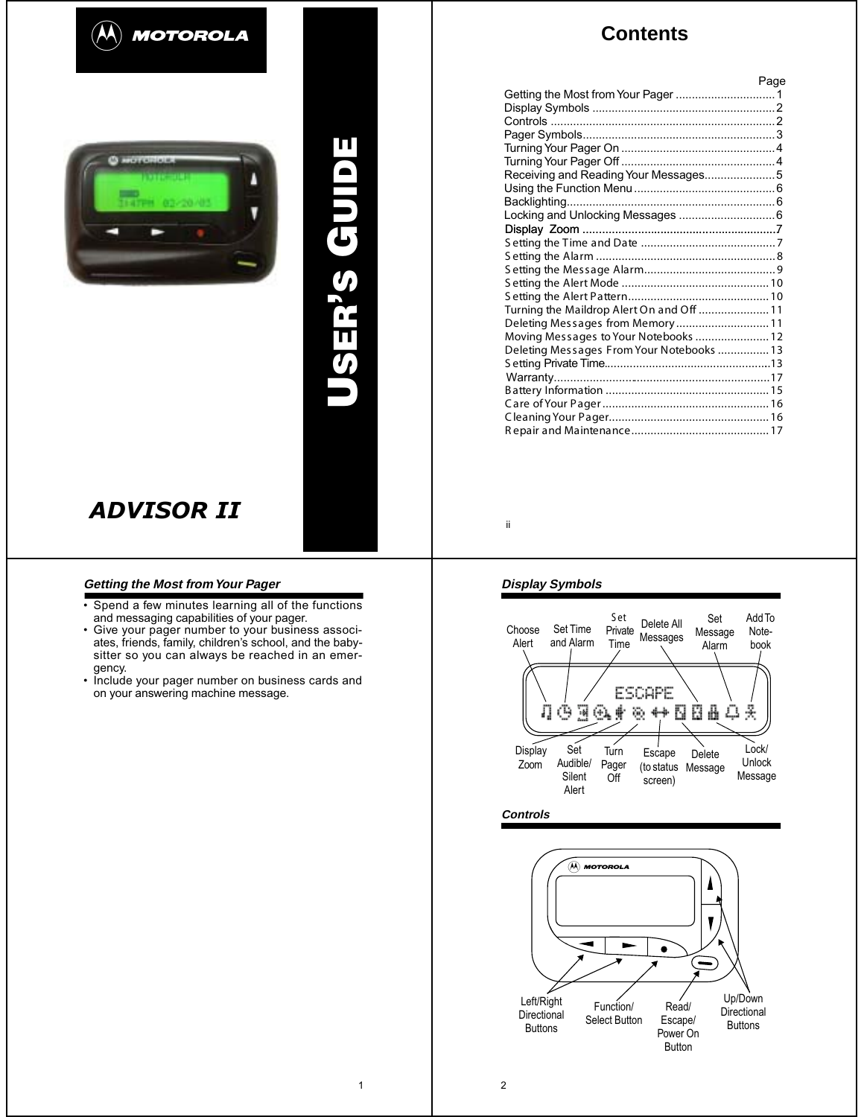



# **USER ' S GUIDE**

# *ADVISOR II*

# **Getting the Most from Your Pager**

- Spend a few minutes learning all of the functions and messaging capabilities of your pager.
- Give your pager number to your business associates, friends, family, children's school, and the babysitter so you can always be reached in an emergency.
- Include your pager number on business cards and on your answering machine message.

# **Contents**

|                                           | Page |
|-------------------------------------------|------|
|                                           |      |
|                                           |      |
|                                           |      |
|                                           |      |
|                                           |      |
|                                           |      |
| Receiving and Reading Your Messages5      |      |
|                                           |      |
|                                           |      |
| Locking and Unlocking Messages  6         |      |
|                                           |      |
|                                           |      |
|                                           |      |
|                                           |      |
|                                           |      |
|                                           |      |
| Turning the Maildrop Alert On and Off  11 |      |
| Deleting Messages from Memory11           |      |
| Moving Messages to Your Notebooks  12     |      |
| Deleting Messages From Your Notebooks  13 |      |
|                                           |      |
|                                           |      |
|                                           |      |
|                                           |      |
|                                           |      |
|                                           |      |

ii

# **Display Symbols**



**Controls**



1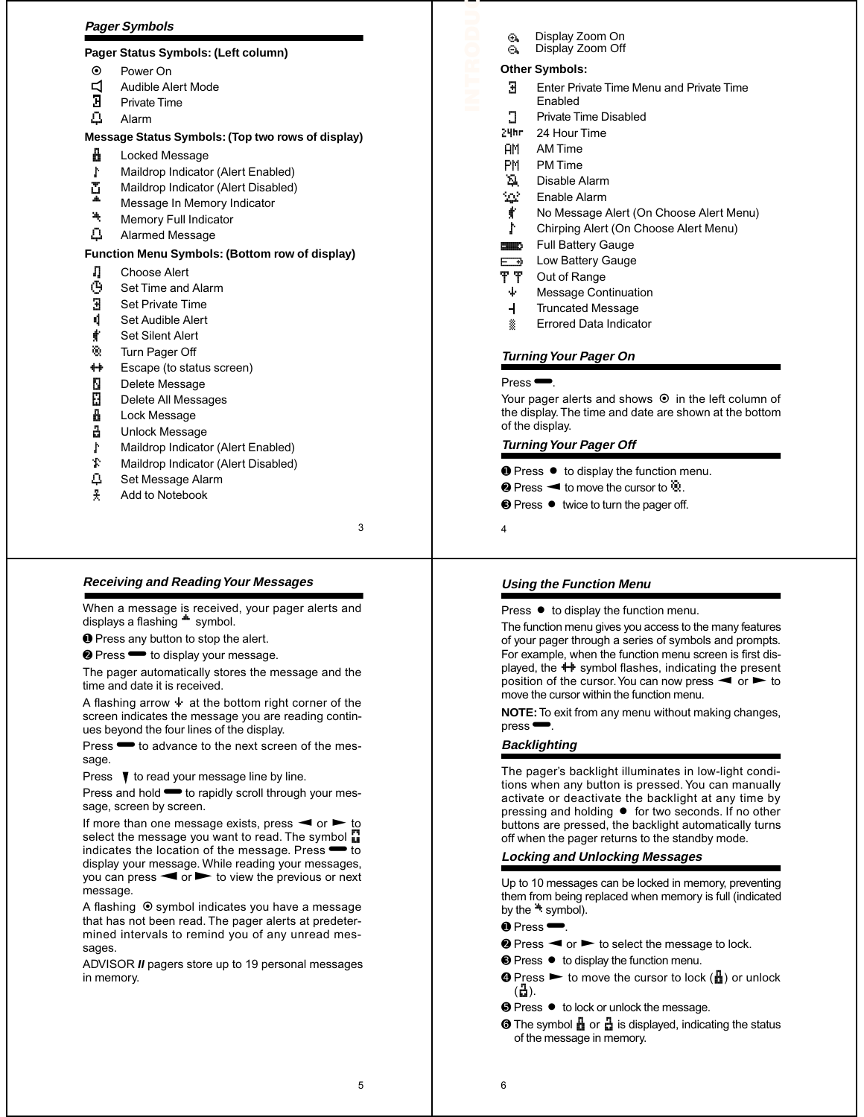# **Pager Symbols**

# **Pager Status Symbols: (Left column)**

- ë Power On
- $\Box$  Audible Alert Mode<br> $\Box$  Private Time
- Private Time
- Ö Alarm

# **Message Status Symbols: (Top two rows of display)**

- **i** Locked Message
- Maildrop Indicator (Alert Enabled)
- Maildrop Indicator (Alert Disabled)
- <sup>■</sup> Message In Memory Indicator<br>■ Memory Full Indicator
- <sup>集</sup> Memory Full Indicator<br><u>凸</u> Alarmed Message
- Alarmed Message

# **Function Menu Symbols: (Bottom row of display)**

- **□** Choose Alert<br>**④** Set Time and
- **৾**<br>**∄** Set Private Time
- Set Private Time
- **i** Set Audible Alert
- <u></u> Set Silent Alert
- ó Turn Pager Off
- $\bigoplus$  Escape (to status screen)
- Ñ Delete Message<br>**Ñ** Delete All Messa
- **ñ** Delete All Messages<br>**∄** Lock Message
- **A** Lock Message<br>금 Unlock Messag
- Unlock Message
- Maildrop Indicator (Alert Enabled)
- Ì Maildrop Indicator (Alert Disabled)
- Ö Set Message Alarm
- ¶ Add to Notebook

3

# **Receiving and Reading Your Messages**

When a message is received, your pager alerts and displays a flashing  $\ddot{=}$  symbol.

➊ Press any button to stop the alert.

<sup>●</sup> Press <sup>■</sup> to display your message.

The pager automatically stores the message and the time and date it is received.

A flashing arrow  $\dot{\mathbf{F}}$  at the bottom right corner of the screen indicates the message you are reading continues beyond the four lines of the display.

Press $\bullet$  to advance to the next screen of the message.

Press  $\blacktriangledown$  to read your message line by line.

Press and hold  $\blacktriangleright$  to rapidly scroll through your message, screen by screen.

If more than one message exists, press  $\blacktriangleleft$  or  $\blacktriangleright$  to select the message you want to read. The symbol  $\mathbb{Z}$ indicates the location of the message. Press $\bullet$  to display your message. While reading your messages, you can press  $\blacktriangleleft$  or  $\blacktriangleright$  to view the previous or next message.

A flashing  $\odot$  symbol indicates you have a message that has not been read. The pager alerts at predetermined intervals to remind you of any unread messages.

ADVISOR *II* pagers store up to 19 personal messages in memory.

- <sup>4</sup> Display Zoom On
- <sup>4</sup> Display Zoom Off

# **Other Symbols:**

**RODUCTION**

- $\overline{B}$  Enter Private Time Menu and Private Time Enabled
- **T** Private Time Disabled
- 24hr 24 Hour Time
- AM AM Time
- PM PM Time
- **A** Disable Alarm
- <sup>5</sup>Ω<sup>2</sup> Enable Alarm
- No Message Alert (On Choose Alert Menu)
- Chirping Alert (On Choose Alert Menu)
- **Example Full Battery Gauge**
- $\overline{F}$  **Low Battery Gauge**
- **T** T Out of Range
- $\ddot{\bullet}$  Message Continuation
- $\overline{+}$ Truncated Message
- **&** Errored Data Indicator

# **Turning Your Pager On**

## $Press \rightarrow$

Your pager alerts and shows  $\odot$  in the left column of the display. The time and date are shown at the bottom of the display.

# **Turning Your Pager Off**

- **Ⅰ** Press  $\bullet$  to display the function menu.
- **❷** Press  $\blacktriangleleft$  to move the cursor to  $\ddot{\mathbf{\%}}$ .
- <sup>●</sup> Press twice to turn the pager off.
- 4

# **Using the Function Menu**

Press  $\bullet$  to display the function menu.

The function menu gives you access to the many features of your pager through a series of symbols and prompts. For example, when the function menu screen is first displayed, the  $\biguparrow \biguparrow$  symbol flashes, indicating the present position of the cursor. You can now press  $\blacktriangleleft$  or  $\blacktriangleright$  to move the cursor within the function menu.

**NOTE:** To exit from any menu without making changes, press<sup> $\blacksquare$ </sup>

# **Backlighting**

The pager's backlight illuminates in low-light conditions when any button is pressed. You can manually activate or deactivate the backlight at any time by pressing and holding  $\bullet$  for two seconds. If no other buttons are pressed, the backlight automatically turns off when the pager returns to the standby mode.

# **Locking and Unlocking Messages**

Up to 10 messages can be locked in memory, preventing them from being replaced when memory is full (indicated by the  $\ddot{\bullet}$  symbol).

## $\bullet$  Press $\bullet$ .

- $\bullet$  Press  $\bullet$  or  $\bullet$  to select the message to lock.
- <sup>●</sup> Press to display the function menu.
- **☉ Press ► to move the cursor to lock (** $\frac{1}{10}$ **) or unlock**  $\left( \frac{1}{2} \right)$ .
- **☉ Press to lock or unlock the message.**
- **☉** The symbol **i** or **i** is displayed, indicating the status of the message in memory.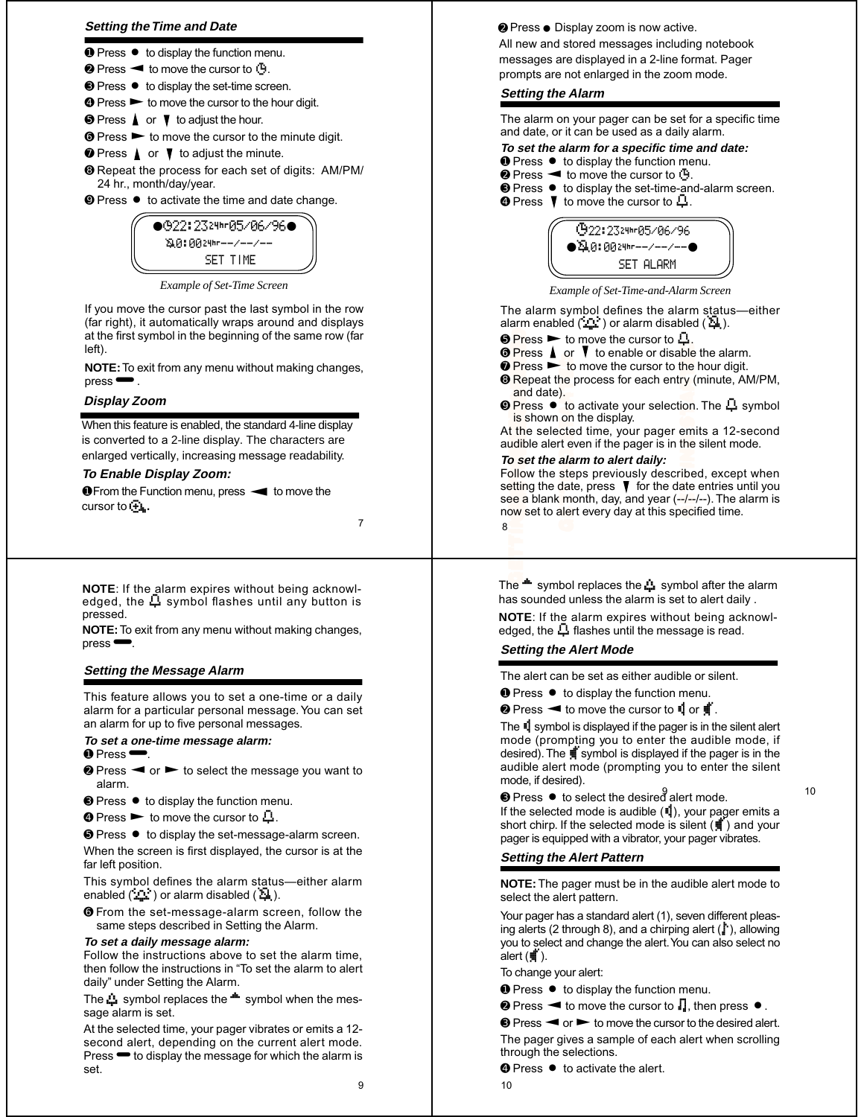## **Setting the Time and Date**

- **Ⅰ** Press to display the function menu.
- **❷** Press **◀** to move the cursor to  $\ddot{\bullet}$ .
- <sup>●</sup> Press to display the set-time screen.
- **☉** Press ► to move the cursor to the hour digit.
- $\bullet$  Press  $\blacktriangle$  or  $\nabla$  to adjust the hour.
- $\odot$  Press  $\triangleright$  to move the cursor to the minute digit.
- $\bullet$  Press  $\blacktriangle$  or  $\nabla$  to adjust the minute.
- ➑ Repeat the process for each set of digits: AM/PM/ 24 hr., month/day/year.
- **<sup>●</sup>** Press to activate the time and date change.



*Example of Set-Time Screen*

If you move the cursor past the last symbol in the row ( far right), it automatically w raps around and displ ays at the first symbol in the beginning of the same r ow ( far left)

NOTE: To exit from any menu without making changes, press Ë .

# **Display Zoom**

When this feature is enabled, the standard 4-line display is converted to a 2-line display. The characters are enlarged vertically, increasing message readabilit y.

## **To Enable Display Zoom:**

**O** From the Function menu, press < to move the cursor to  $\bigoplus_k$ .

7

**NOTE**: If the alarm expires without being acknowl-<br>edged, the **L**, symbol flashes until any button is pressed.

**NOTE:** To exit from any menu without making changes, press Ë .

## **Setting the Message Alarm**

This feature allows you to set a one-time or a daily alarm for a particular personal message. You can set an alarm for up to five personal messages.

## **To set a one-time message alarm:**

- $\bullet$  Press $\bullet$ .
- $\bullet$  Press  $\bullet$  or  $\bullet$  to select the message you want to alarm.
- **Press to display the function menu.**
- **☉** Press  $\triangleright$  to move the cursor to  $\mathbb{L}$ .
- **I** Press to display the set-message-alarm screen.

When the screen is first displayed, the cursor is at the far left position.

This symbol defines the alarm status—either alarm enabled  $(\mathbf{L}^{\mathbf{L}})$  or alarm disabled  $(\mathbf{L}^{\mathbf{L}})$ .

➏ From the set-message-alarm screen, follow the same steps described in Setting the Alarm.

#### **To set a daily message alarm:**

Follow the instructions above to set the alarm time, then follow the instructions in "To set the alarm to alert daily" under Setting the Alarm.

The **the symbol replaces the <sup>the</sup> symbol when the mes**sage alarm is set.

At the selected time, your pager vibrates or emits a 12 second alert, depending on the current alert mode. Press  $\bullet$  to display the message for which the alarm is set.

9

# **❷ Press ● Display zoom is now active.**

All new and stored messages including notebook messages are displayed in a 2-line format. Pager prompts are not enlarged in the zoom mode .

#### **Setting the Alarm**

The alarm on your pager can be set for a specific time and date, or it can be used as a daily alarm.

# **To set the alarm for a specific time and date:**<br>**O** Press  $\bullet$  to display the function menu.

- 
- 
- **❷ Press ◄ to move the cursor to**  $\ddot{\theta}$ **.**<br>**❸ Press ♦ to display the set-time-and-alarm screen.** <br>**❹ Press \fectallarm screen.** 
	-



*Example of Set-Time-and-Alarm Screen*

The alarm symbol defines the alarm status—either alarm enabled  $(\cdot, \cdot)$  or alarm disabled  $(\cdot, \cdot)$ .

- $\bullet$  Press  $\blacktriangleright$  to move the cursor to  $\Box$ .
- **☉ Press ▲ or V** to enable or disable the alarm.<br> *●* **Press ►** to move the cursor to the hour digit.
- 
- **<sup>O</sup>** Repeat the process for each entry (minute, AM/PM, and date).
- ➒ Press Á to activate your selection. The Ö symbol is shown on the display.

At the selected time, your pager emits a 12-second audible alert even if the pager is in the silent mode.

## **To set the alarm to alert daily:**

**Pr** Pr Re ar Pr is the solution of the *GET* Fist<br> **ist**<br> **GETTING**<br>
STARTED<br>
BETTING **FI** Pr Re an Pr is thinking is solid that the accompany of  $\mathbf{s}$  and  $\mathbf{s}$  and  $\mathbf{s}$  and  $\mathbf{s}$  and  $\mathbf{s}$  and  $\mathbf{s}$  and  $\mathbf{s}$  and  $\mathbf{s}$  and  $\mathbf{s}$  and  $\mathbf{s}$  and  $\mathbf{s}$  and  $\mathbf{s}$  and  $\mathbf{s}$  and  $\mathbf{s}$ **GETTING**<br>
ible<br>
the<br>
computed<br>
ibed<br>
ibed<br>
iec te<br>he).to<br>cordite<br>alaste<br>dation **GETTING** BETTING STARTED STARTED START IS STARTED START START START START START START START START START START START START START START START START START START START START START START START START START START START START STA **Pre**<br>Pre Rean<br>Barris starting<br>Liberation<br>Mission **GETT**<br>ble<br>he y (on<br>am he<br>ibe<br>ibe<br>decided tc<br>
le |<br>
Lto on<br>
tte |<br> **ala**<br>
ste |<br>
ller Follow the steps previously described, except when setting the date, press  $\blacktriangledown$  for the date entries until you see a blank month, day, and year (--/--/--). The alarm is now set to alert every day at this specified time.

8

The **\*\*** symbol replaces the **:4** symbol after the alarm has sounded unless the alarm is set to alert daily .

**NOTE**: If the alarm expires without being acknowledged, the  $\Box$  flashes until the message is read.

# **Setting the Alert Mode**

The alert can be set as either audible or silent.

**Ⅰ** Press  $\bullet$  to display the function menu.

 $\odot$  Press  $\blacktriangleleft$  to move the cursor to  $\mathbb{I}$  or  $\mathbb{I}$ .

The  $\mathbb{I}$  symbol is displayed if the pager is in the silent alert mode (prompting you to enter the audible mode, if desired). The  $\frac{1}{3}$  symbol is displayed if the pager is in the audible alert mode (prompting you to enter the silent mode, if desired). **O** Press **A** to **T** to enable or defined the process **C** for **C** for  $\theta$  for  $\theta$  for  $\theta$  for  $\theta$  for  $\theta$  for  $\theta$  for  $\theta$  for  $\theta$  and date).<br>
At the selected time, your pag audible alert even if the gager is  $\pi$ 

 $\bullet$  Press  $\bullet$  to select the desired alert mode.  $10$ 

If the selected mode is audible (i), your pager emits a short chirp. If the selected mode is silent  $(\mathbf{H})$  and your pager is equipped with a vibrator, your pager vibrates.

# **Setting the Alert Pattern**

**NOTE:** The pager must be in the audible alert mode to select the alert pattern.

Your pager has a standard alert (1), seven different pleasing alerts (2 through 8), and a chirping alert ( $\Box$ ), allowing you to select and change the alert. You can also select no alert  $(\parallel$  ).

To change your alert:

- **Ⅰ** Press  $\bullet$  to display the function menu.
- $\bullet$  Press  $\blacktriangleleft$  to move the cursor to  $\Box$ , then press  $\bullet$ .

<sup>
■</sup> Press < or  $\blacktriangleright$  to move the cursor to the desired alert. The pager gives a sample of each alert when scrolling through the selections.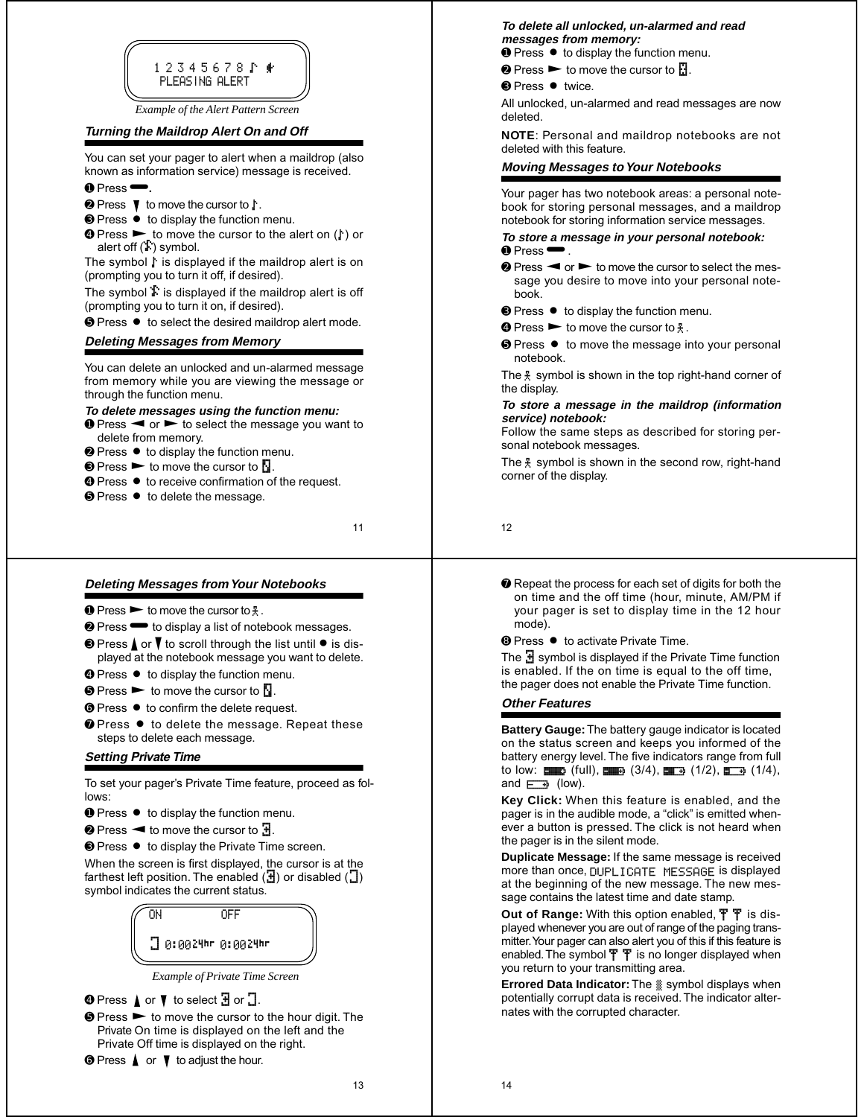

*Example of the Alert Pattern Screen*

# **Turning the Maildrop Alert On and Off**

You can set your pager to alert when a maildrop (also known as information service) message is received.  $\bullet$  Press $\bullet$ .

- 
- $\odot$  Press  $\uparrow$  to move the cursor to  $\uparrow$ . **☉ Press ● to display the function menu.**
- **☉ Press ►** to move the cursor to the alert on  $(F)$  or alert off (Ì) symbol.

The symbol  $\mathfrak k$  is displayed if the maildrop alert is on (prompting you to turn it off, if desired).

The symbol  $\ddot{\mathbf{i}}$  is displayed if the maildrop alert is off (prompting you to turn it on, if desired).

**☉** Press ● to select the desired maildrop alert mode.

# **Deleting Messages from Memory**

You can delete an unlocked and un-alarmed message from memory while you are viewing the message or through the function menu.

# **To delete messages using the function menu:**

- $\bullet$  Press  $\blacktriangleleft$  or  $\blacktriangleright$  to select the message you want to delete from memory.
- **❷ Press to display the function menu.**
- $\bullet$  Press  $\blacktriangleright$  to move the cursor to  $\blacksquare$ .
- **☉ Press to receive confirmation of the request.**
- **<sup>⊙</sup>** Press to delete the message.

11

# **Deleting Messages from Your Notebooks**

- $\bullet$  Press  $\blacktriangleright$  to move the cursor to  $\frac{1}{2}$ .
- <sup>●</sup> Press <sup>●</sup> to display a list of notebook messages.
- $\Theta$  Press  $\triangle$  or  $\blacktriangledown$  to scroll through the list until  $\blacktriangledown$  is displayed at the notebook message you want to delete.
- **<sup>●</sup>** Press to display the function menu.
- $\odot$  Press  $\blacktriangleright$  to move the cursor to  $\Box$ .
- **☉ Press to confirm the delete request.**
- $\odot$  Press  $\bullet$  to delete the message. Repeat these steps to delete each message.

# **Setting Private Time**

To set your pager's Private Time feature, proceed as follows:

- **O** Press to display the function menu.
- $\odot$  Press  $\blacktriangleleft$  to move the cursor to  $\ddagger$ .
- ➌ Press Á to display the Private Time screen.

When the screen is first displayed, the cursor is at the farthest left position. The enabled  $(\frac{\pi}{d})$  or disabled  $($ symbol indicates the current status.



*Example of Private Time Screen*

- $\bullet$  Press  $\blacktriangle$  or  $\blacktriangledown$  to select  $\exists$  or  $\Box$ .
- $\odot$  Press  $\triangleright$  to move the cursor to the hour digit. The Private On time is displayed on the left and the Private Off time is displayed on the right.
- $\bullet$  Press  $\blacktriangle$  or  $\nabla$  to adjust the hour.

## **To delete all unlocked, un-alarmed and read messages from memory:**

**O** Press ● to display the function menu.

- $\bullet$  Press  $\blacktriangleright$  to move the cursor to  $\mathbb{R}$ .
- **<sup>⊙</sup>** Press twice.

All unlocked, un-alarmed and read messages are now deleted.

**NOTE**: Personal and maildrop notebooks are not deleted with this feature.

## **Moving Messages to Your Notebooks**

Your pager has two notebook areas: a personal notebook for storing personal messages, and a maildrop notebook for storing information service messages.

## **To store a message in your personal notebook:**  $\bullet$  Press $\bullet$

- $\odot$  Press  $\blacktriangleleft$  or  $\blacktriangleright$  to move the cursor to select the message you desire to move into your personal notebook.
- <sup>●</sup> Press to display the function menu.
- **☉** Press  $\triangleright$  to move the cursor to  $\frac{1}{2}$ .
- **☉ Press to move the message into your personal** notebook.

The  $\frac{1}{2}$  symbol is shown in the top right-hand corner of the display.

## **To store a message in the maildrop (information service) notebook:**

Follow the same steps as described for storing personal notebook messages.

The  $\frac{2}{3}$  symbol is shown in the second row, right-hand corner of the display.

12

- ➐ Repeat the process for each set of digits for both the on time and the off time (hour, minute, AM/PM if your pager is set to display time in the 12 hour mode).
- **☉ Press to activate Private Time.**

The  $\mathbf{H}$  symbol is displayed if the Private Time function is enabled. If the on time is equal to the off time, the pager does not enable the Private Time function.

# **Other Features**

**Battery Gauge:** The battery gauge indicator is located on the status screen and keeps you informed of the battery energy level. The five indicators range from full to low:  $\bullet$  (full),  $\bullet$   $\bullet$  (3/4),  $\bullet$  (1/2),  $\bullet$  (1/4), and  $\Box$  (low).

**Key Click:** When this feature is enabled, and the pager is in the audible mode, a "click" is emitted whenever a button is pressed. The click is not heard when the pager is in the silent mode.

**Duplicate Message:** If the same message is received more than once, DUPLICATE MESSAGE is displayed at the beginning of the new message. The new message contains the latest time and date stamp.

**Out of Range:** With this option enabled,  $\overline{T}$  **T** is displayed whenever you are out of range of the paging transmitter. Your pager can also alert you of this if this feature is enabled. The symbol  $\overline{T}$   $\overline{T}$  is no longer displayed when you return to your transmitting area.

**Errored Data Indicator:** The « symbol displays when potentially corrupt data is received. The indicator alternates with the corrupted character.

13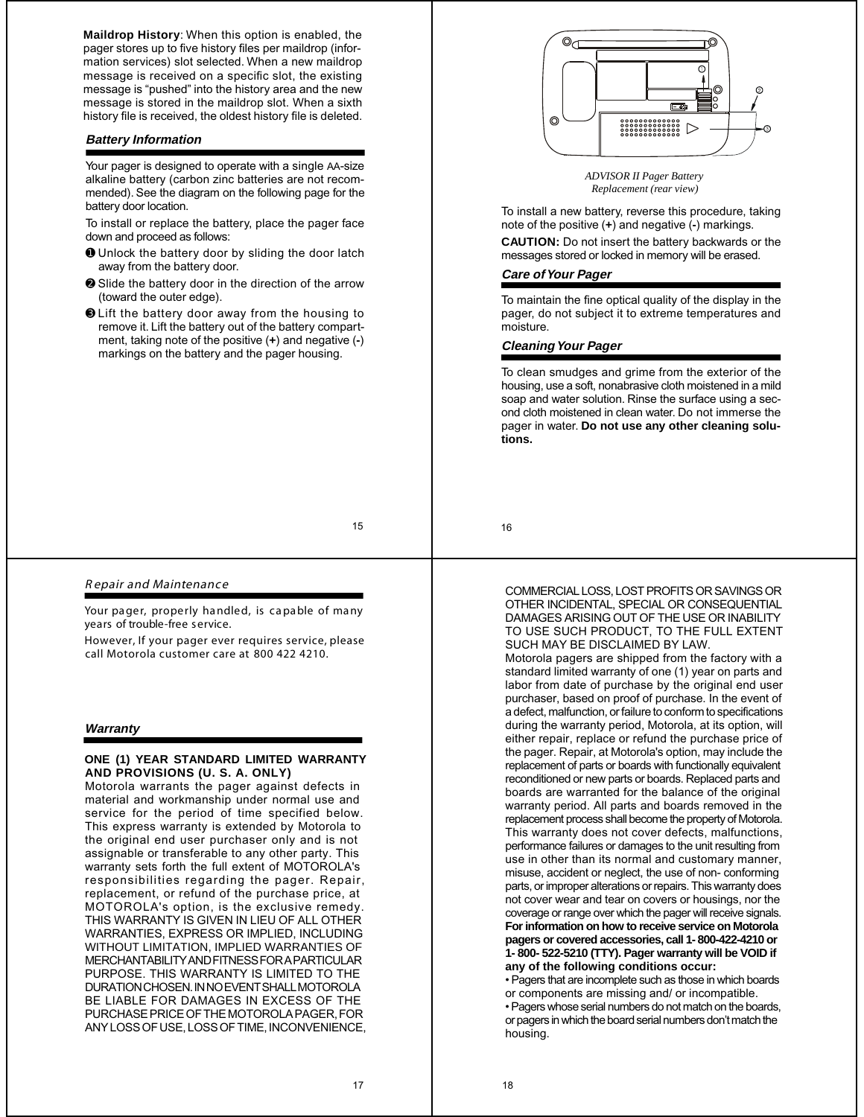**Maildrop History**: When this option is enabled, the pager stores up to five history files per maildrop (information services) slot selected. When a new maildrop message is received on a specific slot, the existing message is "pushed" into the history area and the new message is stored in the maildrop slot. When a sixth history file is received, the oldest history file is deleted.

## **Battery Information**

Your pager is designed to operate with a single AA-size alkaline battery (carbon zinc batteries are not recommended). See the diagram on the following page for the battery door location.

To install or replace the battery, place the pager face down and proceed as follows:

- ➊ Unlock the battery door by sliding the door latch away from the battery door.
- ➋ Slide the battery door in the direction of the arrow (toward the outer edge).
- ➌ Lift the battery door away from the housing to remove it. Lift the battery out of the battery compartment, taking note of the positive (**+**) and negative (**-**) markings on the battery and the pager housing.



## R epair and Maintenance

Your pager, properly handled, is capable of many years of trouble-free service.

However, If your pager ever requires service, please call Motorola customer care at 800 422 4210.

## **Warranty**

## **ONE (1) YEAR STANDARD LIMITED WARRANTY AND PROVISIONS (U. S. A. ONLY)**

Motorola warrants the pager against defects in material and workmanship under normal use and service for the period of time specified below. This express warranty is extended by Motorola to the original end user purchaser only and is not assignable or transferable to any other party. This warranty sets forth the full extent of MOTOROLA's responsibilities regarding the pager. Repair, replacement, or refund of the purchase price, at MOTOROLA's option, is the exclusive remedy. THIS WARRANTY IS GIVEN IN LIEU OF ALL OTHER WARRANTIES, EXPRESS OR IMPLIED, INCLUDING WITHOUT LIMITATION, IMPLIED WARRANTIES OF MERCHANTABILITY AND FITNESS FOR A PARTICULAR PURPOSE. THIS WARRANTY IS LIMITED TO THE DURATION CHOSEN. IN NO EVENT SHALL MOTOROLA BE LIABLE FOR DAMAGES IN EXCESS OF THE PURCHASE PRICE OF THE MOTOROLA PAGER, FOR ANY LOSS OF USE, LOSS OF TIME, INCONVENIENCE,



 *ADVISOR II Pager Battery Replacement (rear view)*

To install a new battery, reverse this procedure, taking note of the positive (**+**) and negative (**-**) markings.

**CAUTION:** Do not insert the battery backwards or the messages stored or locked in memory will be erased.

# **Care of Your Pager**

To maintain the fine optical quality of the display in the pager, do not subject it to extreme temperatures and moisture.

# **Cleaning Your Pager**

To clean smudges and grime from the exterior of the housing, use a soft, nonabrasive cloth moistened in a mild soap and water solution. Rinse the surface using a second cloth moistened in clean water. Do not immerse the pager in water. **Do not use any other cleaning solutions.**

16

COMMERCIAL LOSS, LOST PROFITS OR SAVINGS OR OTHER INCIDENTAL, SPECIAL OR CONSEQUENTIAL DAMAGES ARISING OUT OF THE USE OR INABILITY TO USE SUCH PRODUCT, TO THE FULL EXTENT SUCH MAY BE DISCLAIMED BY LAW.

Motorola pagers are shipped from the factory with a standard limited warranty of one (1) year on parts and labor from date of purchase by the original end user purchaser, based on proof of purchase. In the event of a defect, malfunction, or failure to conform to specifications during the warranty period, Motorola, at its option, will either repair, replace or refund the purchase price of the pager. Repair, at Motorola's option, may include the replacement of parts or boards with functionally equivalent reconditioned or new parts or boards. Replaced parts and boards are warranted for the balance of the original warranty period. All parts and boards removed in the replacement process shall become the property of Motorola. This warranty does not cover defects, malfunctions, performance failures or damages to the unit resulting from use in other than its normal and customary manner, misuse, accident or neglect, the use of non- conforming parts, or improper alterations or repairs. This warranty does not cover wear and tear on covers or housings, nor the coverage or range over which the pager will receive signals. **Forinformation on how to receive service on Motorola pagers or covered accessories, call 1- 800-422-4210 or 1- 800- 522-5210 (TTY). Pager warranty will be VOID if any of the following conditions occur:**

•Pagers that are incomplete such as those in which boards or components are missing and/ or incompatible.

• Pagers whose serial numbers do not match on the boards, or pagers in which the board serial numbers don't match the housing.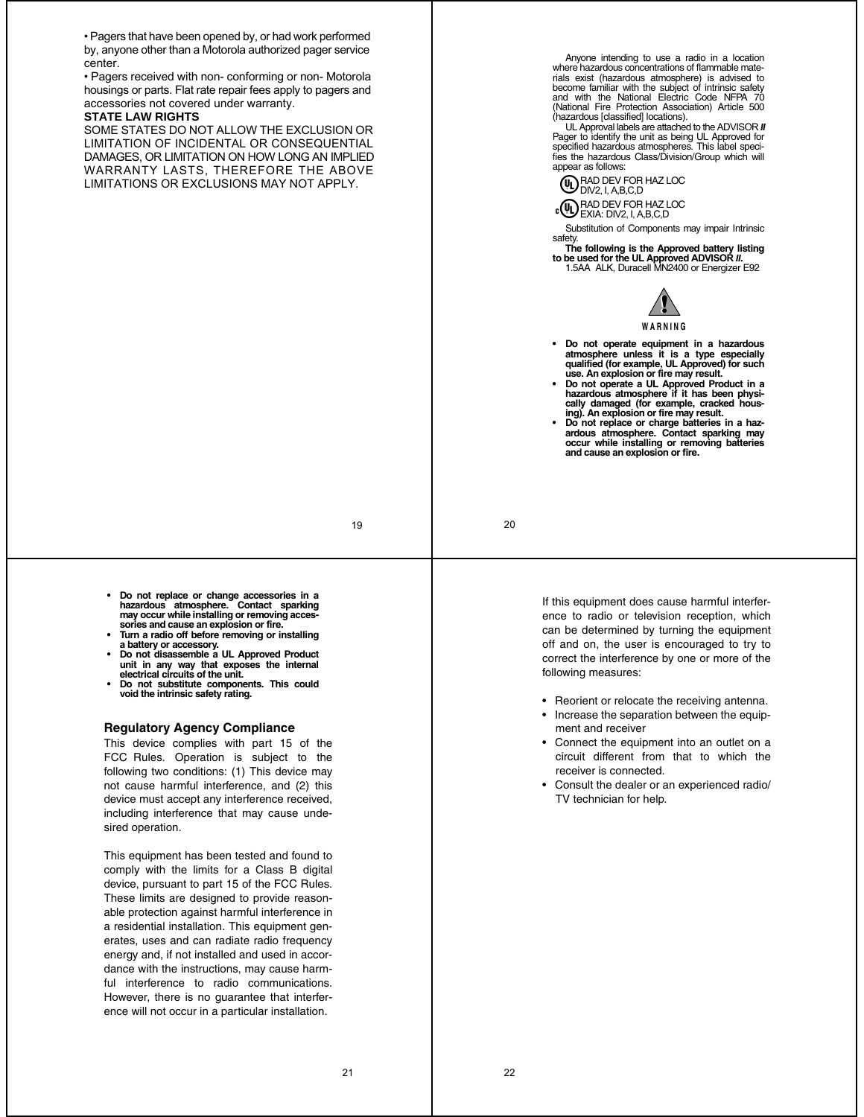• Pagers that have been opened by, or had work performed by, anyone other than a Motorola authorized pager service center.

• Pagers received with non- conforming or non- Motorola housings or parts. Flat rate repair fees apply to pagers and accessories not covered under warranty.

# **STATE LAW RIGHTS**

SOME STATES DO NOT ALLOW THE EXCLUSION OR LIMITATION OF INCIDENTAL OR CONSEQUENTIAL DAMAGES, OR LIMITATION ON HOW LONG AN IMPLIED WARRANTY LASTS, THEREFORE THE ABOVE LIMITATIONS OR EXCLUSIONS MAY NOT APPLY.

Anyone intending to use a radio in a location where hazardous concentrations of flammable materials exist (hazardous atmosphere) is advised to become familiar with the subject of intrinsic safety and with the National Electric Code NFPA 70 (National Fire Protection Association) Article 500

(hazardous [classified] locations). UL Approval labels are attached to the ADVISOR *II* Pager to identify the unit as being UL Approved for specified hazardous atmospheres. This label speci-fies the hazardous Class/Division/Group which will appear as follows:

RAD DEV FOR HAZ LOC DIV2, I, A,B,C,D

RAD DEV FOR HAZ LOC EXIA: DIV2, I, A,B,C,D

Substitution of Components may impair Intrinsic safety.

**The following is the Approved battery listing**<br>to be used for the UL Approved ADVISOR II. **to be used for the UL Approved ADVISOR** *II***.** 1.5AA ALK, Duracell MN2400 or Energizer E92



**W A R N I N G**

- **Do not operate equipment in a hazardous atmosphere unless it is a type especially qualified (for example, UL Approved) for such**
- **use. An explosion or fire may result. Do not operate a UL Approved Product in a hazardous atmosphere if it has been physically damaged (for example, cracked hous-ing). An explosion or fire may result.**
- **Do not replace or charge batteries in a hazardous atmosphere. Contact sparking may occur while installing or removing batteries and cause an explosion or fire.**

19

**• Do not replace or change accessories in a hazardous atmosphere. Contact sparking may occur while installing or removing accessories and cause an explosion or fire.**

- **Turn a radio off before removing or installing a battery or accessory. • Do not disassemble a UL Approved Product**
- **unit in any way that exposes the internal electrical circuits of the unit.**
- **Do not substitute components. This could void the intrinsic safety rating.**

## **Regulatory Agency Compliance**

This device complies with part 15 of the FCC Rules. Operation is subject to the following two conditions: (1) This device may not cause harmful interference, and (2) this device must accept any interference received, including interference that may cause undesired operation.

This equipment has been tested and found to comply with the limits for a Class B digital device, pursuant to part 15 of the FCC Rules. These limits are designed to provide reasonable protection against harmful interference in a residential installation. This equipment generates, uses and can radiate radio frequency energy and, if not installed and used in accordance with the instructions, may cause harmful interference to radio communications. However, there is no guarantee that interference will not occur in a particular installation.

If this equipment does cause harmful interference to radio or television reception, which can be determined by turning the equipment off and on, the user is encouraged to try to correct the interference by one or more of the following measures:

- Reorient or relocate the receiving antenna.
- Increase the separation between the equipment and receiver
- Connect the equipment into an outlet on a circuit different from that to which the receiver is connected.
- Consult the dealer or an experienced radio/ TV technician for help.

20